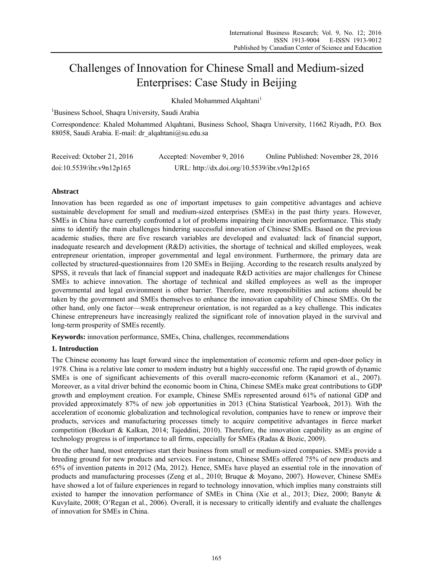# Challenges of Innovation for Chinese Small and Medium-sized Enterprises: Case Study in Beijing

Khaled Mohammed Alqahtani<sup>1</sup>

<sup>1</sup>Business School, Shaqra University, Saudi Arabia

Correspondence: Khaled Mohammed Alqahtani, Business School, Shaqra University, 11662 Riyadh, P.O. Box 88058, Saudi Arabia. E-mail: dr\_alqahtani@su.edu.sa

| Received: October 21, 2016 | Accepted: November 9, 2016                   | Online Published: November 28, 2016 |
|----------------------------|----------------------------------------------|-------------------------------------|
| doi:10.5539/ibr.v9n12p165  | URL: http://dx.doi.org/10.5539/ibr.v9n12p165 |                                     |

# **Abstract**

Innovation has been regarded as one of important impetuses to gain competitive advantages and achieve sustainable development for small and medium-sized enterprises (SMEs) in the past thirty years. However, SMEs in China have currently confronted a lot of problems impairing their innovation performance. This study aims to identify the main challenges hindering successful innovation of Chinese SMEs. Based on the previous academic studies, there are five research variables are developed and evaluated: lack of financial support, inadequate research and development (R&D) activities, the shortage of technical and skilled employees, weak entrepreneur orientation, improper governmental and legal environment. Furthermore, the primary data are collected by structured-questionnaires from 120 SMEs in Beijing. According to the research results analyzed by SPSS, it reveals that lack of financial support and inadequate R&D activities are major challenges for Chinese SMEs to achieve innovation. The shortage of technical and skilled employees as well as the improper governmental and legal environment is other barrier. Therefore, more responsibilities and actions should be taken by the government and SMEs themselves to enhance the innovation capability of Chinese SMEs. On the other hand, only one factor—weak entrepreneur orientation, is not regarded as a key challenge. This indicates Chinese entrepreneurs have increasingly realized the significant role of innovation played in the survival and long-term prosperity of SMEs recently.

**Keywords:** innovation performance, SMEs, China, challenges, recommendations

#### **1. Introduction**

The Chinese economy has leapt forward since the implementation of economic reform and open-door policy in 1978. China is a relative late comer to modern industry but a highly successful one. The rapid growth of dynamic SMEs is one of significant achievements of this overall macro-economic reform (Kanamori et al., 2007). Moreover, as a vital driver behind the economic boom in China, Chinese SMEs make great contributions to GDP growth and employment creation. For example, Chinese SMEs represented around 61% of national GDP and provided approximately 87% of new job opportunities in 2013 (China Statistical Yearbook, 2013). With the acceleration of economic globalization and technological revolution, companies have to renew or improve their products, services and manufacturing processes timely to acquire competitive advantages in fierce market competition (Bozkurt & Kalkan, 2014; Tajeddini, 2010). Therefore, the innovation capability as an engine of technology progress is of importance to all firms, especially for SMEs (Radas & Bozic, 2009).

On the other hand, most enterprises start their business from small or medium-sized companies. SMEs provide a breeding ground for new products and services. For instance, Chinese SMEs offered 75% of new products and 65% of invention patents in 2012 (Ma, 2012). Hence, SMEs have played an essential role in the innovation of products and manufacturing processes (Zeng et al., 2010; Bruque & Moyano, 2007). However, Chinese SMEs have showed a lot of failure experiences in regard to technology innovation, which implies many constraints still existed to hamper the innovation performance of SMEs in China (Xie et al., 2013; Diez, 2000; Banyte & Kuvylaite, 2008; O'Regan et al., 2006). Overall, it is necessary to critically identify and evaluate the challenges of innovation for SMEs in China.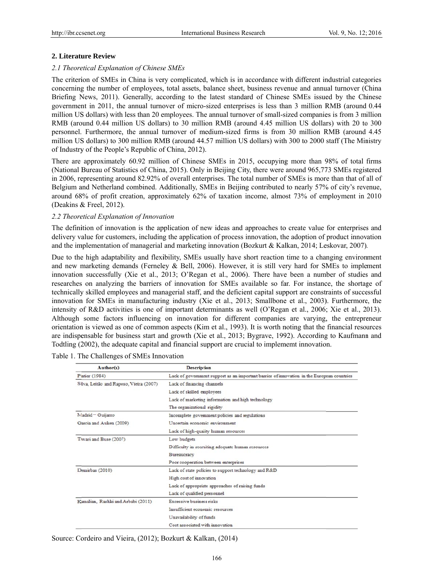# 2. Literature Review

# 2.1 Theoretical Explanation of Chinese SMEs

The criterion of SMEs in China is very complicated, which is in accordance with different industrial categories concerning the number of employees, total assets, balance sheet, business revenue and annual turnover (China Briefing News, 2011). Generally, according to the latest standard of Chinese SMEs issued by the Chinese government in 2011, the annual turnover of micro-sized enterprises is less than 3 million RMB (around 0.44 million US dollars) with less than 20 employees. The annual turnover of small-sized companies is from 3 million RMB (around 0.44 million US dollars) to 30 million RMB (around 4.45 million US dollars) with 20 to 300 personnel. Furthermore, the annual turnover of medium-sized firms is from 30 million RMB (around 4.45) million US dollars) to 300 million RMB (around 44.57 million US dollars) with 300 to 2000 staff (The Ministry of Industry of the People's Republic of China, 2012).

There are approximately 60.92 million of Chinese SMEs in 2015, occupying more than 98% of total firms (National Bureau of Statistics of China, 2015). Only in Beijing City, there were around 965,773 SMEs registered in 2006, representing around 82.92% of overall enterprises. The total number of SMEs is more than that of all of Belgium and Netherland combined. Additionally, SMEs in Beijing contributed to nearly 57% of city's revenue, around 68% of profit creation, approximately 62% of taxation income, almost 73% of employment in 2010 (Deakins & Freel, 2012).

# 2.2 Theoretical Explanation of Innovation

The definition of innovation is the application of new ideas and approaches to create value for enterprises and delivery value for customers, including the application of process innovation, the adoption of product innovation and the implementation of managerial and marketing innovation (Bozkurt & Kalkan, 2014; Leskovar, 2007).

Due to the high adaptability and flexibility, SMEs usually have short reaction time to a changing environment and new marketing demands (Ferneley & Bell, 2006). However, it is still very hard for SMEs to implement innovation successfully (Xie et al., 2013; O'Regan et al., 2006). There have been a number of studies and researches on analyzing the barriers of innovation for SMEs available so far. For instance, the shortage of technically skilled employees and managerial staff, and the deficient capital support are constraints of successful innovation for SMEs in manufacturing industry (Xie et al., 2013; Smallbone et al., 2003). Furthermore, the intensity of R&D activities is one of important determinants as well (O'Regan et al., 2006; Xie et al., 2013). Although some factors influencing on innovation for different companies are varying, the entrepreneur orientation is viewed as one of common aspects (Kim et al., 1993). It is worth noting that the financial resources are indispensable for business start and growth (Xie et al., 2013; Bygrave, 1992). According to Kaufmann and Todtling (2002), the adequate capital and financial support are crucial to implement innovation.

| Author(s)                               | <b>Description</b>                                                                         |  |
|-----------------------------------------|--------------------------------------------------------------------------------------------|--|
| Piatier (1984)                          | Lack of government support as an important barrier of innovation in the European countries |  |
| Silva, Leitão and Raposo, Vieira (2007) | Lack of financing channels                                                                 |  |
|                                         | Lack of skilled employees                                                                  |  |
|                                         | Lack of marketing information and high technology                                          |  |
|                                         | The organizational rigidity                                                                |  |
| Madrid - Guijarro                       | Incomplete government policies and regulations                                             |  |
| Garcia and Auken (2009)                 | Uncertain economic environment                                                             |  |
|                                         | Lack of high-quality human resources                                                       |  |
| Tiwari and Buse (2007)                  | Low budgets                                                                                |  |
|                                         | Difficulty in recruiting adequate human resources                                          |  |
|                                         | Bureaucracy                                                                                |  |
|                                         | Poor cooperation between enterprises                                                       |  |
| Demirbas (2010)                         | Lack of state policies to support technology and R&D                                       |  |
|                                         | High cost of innovation                                                                    |  |
|                                         | Lack of appropriate approaches of raising funds                                            |  |
|                                         | Lack of qualified personnel                                                                |  |
| Kamalian, Rashki and Arbabi (2011)      | Excessive business risks                                                                   |  |
|                                         | Insufficient economic resources                                                            |  |
|                                         | Unavailability of funds                                                                    |  |
|                                         | Cost associated with innovation                                                            |  |

Table 1. The Challenges of SMEs Innovation

Source: Cordeiro and Vieira, (2012); Bozkurt & Kalkan, (2014)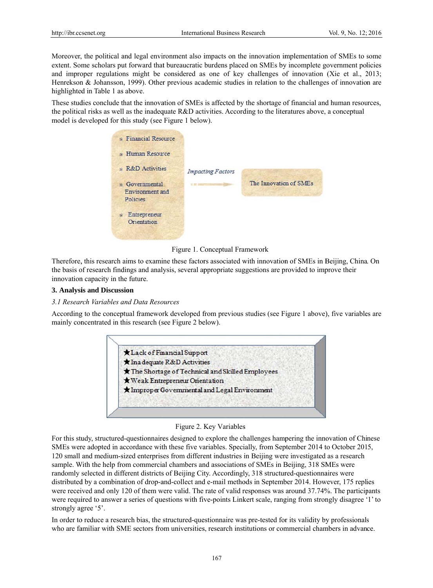Moreover, the political and legal environment also impacts on the innovation implementation of SMEs to some extent. Some scholars put forward that bureaucratic burdens placed on SMEs by incomplete government policies and improper regulations might be considered as one of key challenges of innovation (Xie et al., 2013; Henrekson & Johansson, 1999). Other previous academic studies in relation to the challenges of innovation are highlighted in Table 1 as above.

These studies conclude that the innovation of SMEs is affected by the shortage of financial and human resources, the political risks as well as the inadequate R&D activities. According to the literatures above, a conceptual model is developed for this study (see Figure 1 below).



Figure 1. Conceptual Framework

Therefore, this research aims to examine these factors associated with innovation of SMEs in Beijing, China. On the basis of research findings and analysis, several appropriate suggestions are provided to improve their innovation capacity in the future.

## 3. Analysis and Discussion

#### 3.1 Research Variables and Data Resources

According to the conceptual framework developed from previous studies (see Figure 1 above), five variables are mainly concentrated in this research (see Figure 2 below).



#### Figure 2. Key Variables

For this study, structured-questionnaires designed to explore the challenges hampering the innovation of Chinese SMEs were adopted in accordance with these five variables. Specially, from September 2014 to October 2015, 120 small and medium-sized enterprises from different industries in Beijing were investigated as a research sample. With the help from commercial chambers and associations of SMEs in Beijing, 318 SMEs were randomly selected in different districts of Beijing City. Accordingly, 318 structured-questionnaires were distributed by a combination of drop-and-collect and e-mail methods in September 2014. However, 175 replies were received and only 120 of them were valid. The rate of valid responses was around 37.74%. The participants were required to answer a series of questions with five-points Linkert scale, ranging from strongly disagree '1' to strongly agree '5'.

In order to reduce a research bias, the structured-questionnaire was pre-tested for its validity by professionals who are familiar with SME sectors from universities, research institutions or commercial chambers in advance.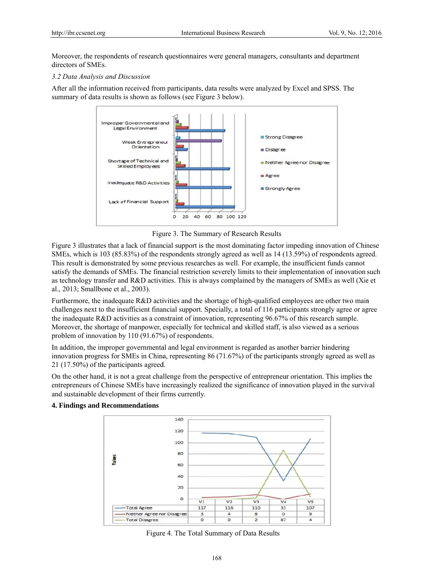Moreover, the respondents of research questionnaires were general managers, consultants and department directors of SMEs

#### 3.2 Data Analysis and Discussion

After all the information received from participants, data results were analyzed by Excel and SPSS. The summary of data results is shown as follows (see Figure 3 below).



Figure 3. The Summary of Research Results

Figure 3 illustrates that a lack of financial support is the most dominating factor impeding innovation of Chinese SMEs, which is 103 (85.83%) of the respondents strongly agreed as well as 14 (13.59%) of respondents agreed. This result is demonstrated by some previous researches as well. For example, the insufficient funds cannot satisfy the demands of SMEs. The financial restriction severely limits to their implementation of innovation such as technology transfer and R&D activities. This is always complained by the managers of SMEs as well (Xie et al., 2013; Smallbone et al., 2003).

Furthermore, the inadequate R&D activities and the shortage of high-qualified employees are other two main challenges next to the insufficient financial support. Specially, a total of 116 participants strongly agree or agree the inadequate R&D activities as a constraint of innovation, representing 96.67% of this research sample. Moreover, the shortage of manpower, especially for technical and skilled staff, is also viewed as a serious problem of innovation by 110 (91.67%) of respondents.

In addition, the improper governmental and legal environment is regarded as another barrier hindering innovation progress for SMEs in China, representing  $86(71.67%)$  of the participants strongly agreed as well as 21 (17.50%) of the participants agreed.

On the other hand, it is not a great challenge from the perspective of entrepreneur orientation. This implies the entrepreneurs of Chinese SMEs have increasingly realized the significance of innovation played in the survival and sustainable development of their firms currently.



#### **4. Findings and Recommendations**

Figure 4. The Total Summary of Data Results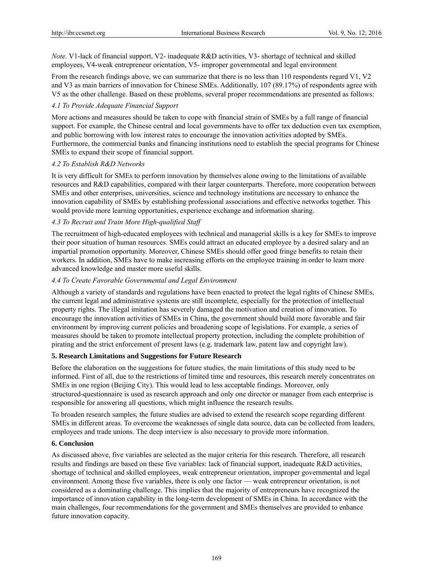*Note.* V1-lack of financial support, V2- inadequate R&D activities, V3- shortage of technical and skilled employees, V4-weak entrepreneur orientation, V5- improper governmental and legal environment

From the research findings above, we can summarize that there is no less than 110 respondents regard V1, V2 and V3 as main barriers of innovation for Chinese SMEs. Additionally, 107 (89.17%) of respondents agree with V5 as the other challenge. Based on these problems, several proper recommendations are presented as follows:

# *4.1 To Provide Adequate Financial Support*

More actions and measures should be taken to cope with financial strain of SMEs by a full range of financial support. For example, the Chinese central and local governments have to offer tax deduction even tax exemption, and public borrowing with low interest rates to encourage the innovation activities adopted by SMEs. Furthermore, the commercial banks and financing institutions need to establish the special programs for Chinese SMEs to expand their scope of financial support.

# *4.2 To Establish R&D Networks*

It is very difficult for SMEs to perform innovation by themselves alone owing to the limitations of available resources and R&D capabilities, compared with their larger counterparts. Therefore, more cooperation between SMEs and other enterprises, universities, science and technology institutions are necessary to enhance the innovation capability of SMEs by establishing professional associations and effective networks together. This would provide more learning opportunities, experience exchange and information sharing.

# *4.3 To Recruit and Train More High-qualified Staff*

The recruitment of high-educated employees with technical and managerial skills is a key for SMEs to improve their poor situation of human resources. SMEs could attract an educated employee by a desired salary and an impartial promotion opportunity. Moreover, Chinese SMEs should offer good fringe benefits to retain their workers. In addition, SMEs have to make increasing efforts on the employee training in order to learn more advanced knowledge and master more useful skills.

# *4.4 To Create Favorable Governmental and Legal Environment*

Although a variety of standards and regulations have been enacted to protect the legal rights of Chinese SMEs, the current legal and administrative systems are still incomplete, especially for the protection of intellectual property rights. The illegal imitation has severely damaged the motivation and creation of innovation. To encourage the innovation activities of SMEs in China, the government should build more favorable and fair environment by improving current policies and broadening scope of legislations. For example, a series of measures should be taken to promote intellectual property protection, including the complete prohibition of pirating and the strict enforcement of present laws (e.g. trademark law, patent law and copyright law).

# **5. Research Limitations and Suggestions for Future Research**

Before the elaboration on the suggestions for future studies, the main limitations of this study need to be informed. First of all, due to the restrictions of limited time and resources, this research merely concentrates on SMEs in one region (Beijing City). This would lead to less acceptable findings. Moreover, only structured-questionnaire is used as research approach and only one director or manager from each enterprise is responsible for answering all questions, which might influence the research results.

To broaden research samples, the future studies are advised to extend the research scope regarding different SMEs in different areas. To overcome the weaknesses of single data source, data can be collected from leaders, employees and trade unions. The deep interview is also necessary to provide more information.

# **6. Conclusion**

As discussed above, five variables are selected as the major criteria for this research. Therefore, all research results and findings are based on these five variables: lack of financial support, inadequate R&D activities, shortage of technical and skilled employees, weak entrepreneur orientation, improper governmental and legal environment. Among these five variables, there is only one factor — weak entrepreneur orientation, is not considered as a dominating challenge. This implies that the majority of entrepreneurs have recognized the importance of innovation capability in the long-term development of SMEs in China. In accordance with the main challenges, four recommendations for the government and SMEs themselves are provided to enhance future innovation capacity.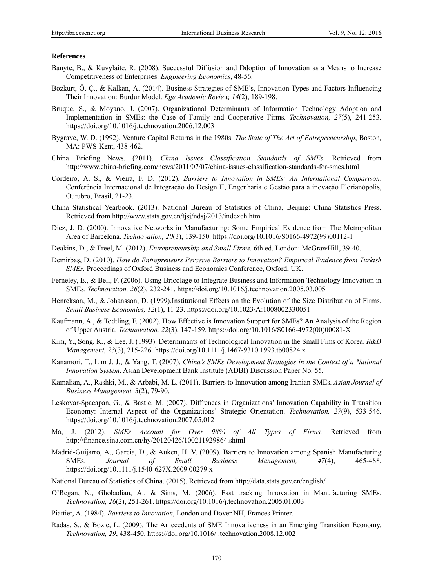#### **References**

- Banyte, B., & Kuvylaite, R. (2008). Successful Diffusion and Ddoption of Innovation as a Means to Increase Competitiveness of Enterprises. *Engineering Economics*, 48-56.
- Bozkurt, Ö. Ç., & Kalkan, A. (2014). Business Strategies of SME's, Innovation Types and Factors Influencing Their Innovation: Burdur Model. *Ege Academic Review, 14*(2), 189-198.
- Bruque, S., & Moyano, J. (2007). Organizational Determinants of Information Technology Adoption and Implementation in SMEs: the Case of Family and Cooperative Firms. *Technovation, 27*(5), 241-253. https://doi.org/10.1016/j.technovation.2006.12.003
- Bygrave, W. D. (1992). Venture Capital Returns in the 1980s. *The State of The Art of Entrepreneurship*, Boston, MA: PWS-Kent, 438-462.
- China Briefing News. (2011). *China Issues Classification Standards of SMEs*. Retrieved from http://www.china-briefing.com/news/2011/07/07/china-issues-classification-standards-for-smes.html
- Cordeiro, A. S., & Vieira, F. D. (2012). *Barriers to Innovation in SMEs: An International Comparıson.*  Conferência Internacional de Integração do Design II, Engenharia e Gestão para a inovação Florianópolis, Outubro, Brasil, 21-23.
- China Statistical Yearbook. (2013). National Bureau of Statistics of China, Beijing: China Statistics Press. Retrieved from http://www.stats.gov.cn/tjsj/ndsj/2013/indexch.htm
- Diez, J. D. (2000). Innovative Networks in Manufacturing: Some Empirical Evidence from The Metropolitan Area of Barcelona. *Technovation, 20*(3), 139-150. https://doi.org/10.1016/S0166-4972(99)00112-1
- Deakins, D., & Freel, M. (2012). *Entrepreneurship and Small Firms.* 6th ed. London: McGrawHill, 39-40.
- Demirbaş, D. (2010). *How do Entrepreneurs Perceive Barriers to Innovation? Empirical Evidence from Turkish SMEs.* Proceedings of Oxford Business and Economics Conference, Oxford, UK.
- Ferneley, E., & Bell, F. (2006). Using Bricolage to Integrate Business and Information Technology Innovation in SMEs. *Technovation, 26*(2), 232-241. https://doi.org/10.1016/j.technovation.2005.03.005
- Henrekson, M., & Johansson, D. (1999).Institutional Effects on the Evolution of the Size Distribution of Firms. *Small Business Economics, 12*(1), 11-23. https://doi.org/10.1023/A:1008002330051
- Kaufmann, A., & Todtling, F. (2002). How Effective is Innovation Support for SMEs? An Analysis of the Region of Upper Austria. *Technovation, 22*(3), 147-159. https://doi.org/10.1016/S0166-4972(00)00081-X
- Kim, Y., Song, K., & Lee, J. (1993). Determinants of Technological Innovation in the Small Fims of Korea. *R&D Management, 23*(3), 215-226. https://doi.org/10.1111/j.1467-9310.1993.tb00824.x
- Kanamori, T., Lim J. J., & Yang, T. (2007). *China's SMEs Development Strategies in the Context of a National Innovation System*. Asian Development Bank Institute (ADBI) Discussion Paper No. 55.
- Kamalian, A., Rashki, M., & Arbabi, M. L. (2011). Barriers to Innovation among Iranian SMEs. *Asian Journal of Business Management, 3*(2), 79-90.
- Leskovar-Spacapan, G., & Bastic, M. (2007). Diffrences in Organizations' Innovation Capability in Transition Economy: Internal Aspect of the Organizations' Strategic Orientation. *Technovation, 27*(9), 533-546. https://doi.org/10.1016/j.technovation.2007.05.012
- Ma, J. (2012). *SMEs Account for Over 98% of All Types of Firms.* Retrieved from http://finance.sina.com.cn/hy/20120426/100211929864.shtml
- Madrid-Guijarro, A., Garcia, D., & Auken, H. V. (2009). Barriers to Innovation among Spanish Manufacturing SMEs. *Journal of Small Business Management, 47*(4), 465-488. https://doi.org/10.1111/j.1540-627X.2009.00279.x
- National Bureau of Statistics of China. (2015). Retrieved from http://data.stats.gov.cn/english/
- O'Regan, N., Ghobadian, A., & Sims, M. (2006). Fast tracking Innovation in Manufacturing SMEs. *Technovation, 26*(2), 251-261. https://doi.org/10.1016/j.technovation.2005.01.003
- Piattier, A. (1984). *Barriers to Innovation*, London and Dover NH, Frances Printer.
- Radas, S., & Bozic, L. (2009). The Antecedents of SME Innovativeness in an Emerging Transition Economy. *Technovation, 29*, 438-450. https://doi.org/10.1016/j.technovation.2008.12.002